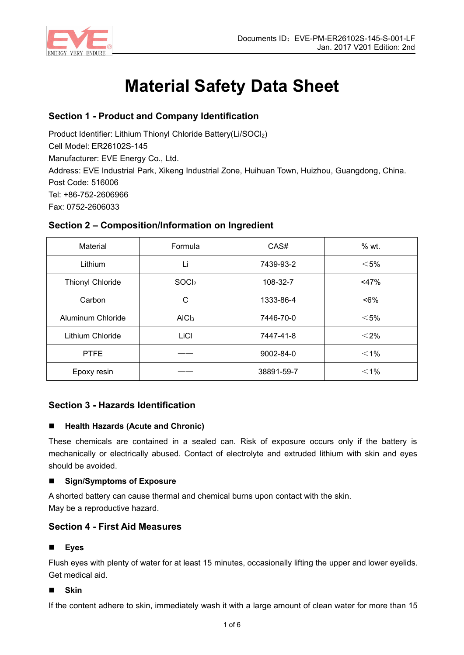

# **Material Safety Data Sheet**

# **Section 1 - Product and Company Identification**

Product Identifier: Lithium Thionyl Chloride Battery(Li/SOCl2) Cell Model: ER26102S-145 Manufacturer: EVE Energy Co., Ltd. Address: EVE Industrial Park, Xikeng Industrial Zone, Huihuan Town, Huizhou, Guangdong, China. Post Code: 516006 Tel: +86-752-2606966 Fax: 0752-2606033

## **Section 2 – Composition/Information on Ingredient**

| Material                | Formula           | CAS#       | % wt.   |
|-------------------------|-------------------|------------|---------|
| Lithium                 | Li                | 7439-93-2  | $<$ 5%  |
| <b>Thionyl Chloride</b> | SOCl <sub>2</sub> | 108-32-7   | $<$ 47% |
| Carbon                  | C                 | 1333-86-4  | ~5%     |
| Aluminum Chloride       | AICI <sub>3</sub> | 7446-70-0  | $<$ 5%  |
| Lithium Chloride        | LiCl              | 7447-41-8  | $<$ 2%  |
| <b>PTFE</b>             |                   | 9002-84-0  | $< 1\%$ |
| Epoxy resin             |                   | 38891-59-7 | $< 1\%$ |

## **Section 3 - Hazards Identification**

## **Health Hazards (Acute and Chronic)**

These chemicals are contained in a sealed can. Risk of exposure occurs only if the battery is mechanically or electrically abused. Contact of electrolyte and extruded lithium with skin and eyes should be avoided.

## **Sign/Symptoms of Exposure**

A shorted battery can cause thermal and chemical burns upon contact with the skin. May be a reproductive hazard.

## **Section 4 - First Aid Measures**

## **Eyes**

Flush eyes with plenty of water for at least 15 minutes, occasionally lifting the upper and lower eyelids. Get medical aid.

**Skin**

If the content adhere to skin, immediately wash it with a large amount of clean water for more than 15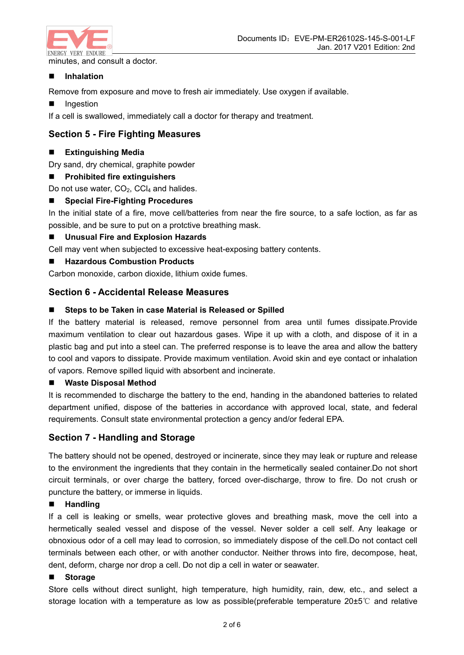

minutes, and consult a doctor.

## **Inhalation**

Remove from exposure and move to fresh air immediately. Use oxygen if available.

Ingestion

If a cell is swallowed, immediately call a doctor for therapy and treatment.

## **Section 5 - Fire Fighting Measures**

## **Extinguishing Media**

Dry sand, dry chemical, graphite powder

**Prohibited fire extinguishers**

Do not use water, CO<sub>2</sub>, CCI<sub>4</sub> and halides.

## **Special Fire-Fighting Procedures**

In the initial state of a fire, move cell/batteries from near the fire source, to a safe loction, as far as possible, and be sure to put on a protctive breathing mask.

## **Unusual Fire and Explosion Hazards**

Cell may vent when subjected to excessive heat-exposing battery contents.

## **Hazardous Combustion Products**

Carbon monoxide, carbon dioxide, lithium oxide fumes.

## **Section 6 - Accidental Release Measures**

## **Steps to be Taken in case Material is Released or Spilled**

If the battery material is released, remove personnel from area until fumes dissipate.Provide maximum ventilation to clear out hazardous gases. Wipe it up with a cloth, and dispose of it in a plastic bag and put into a steel can. The preferred response is to leave the area and allow the battery to cool and vapors to dissipate. Provide maximum ventilation. Avoid skin and eye contact or inhalation of vapors. Remove spilled liquid with absorbent and incinerate.

#### **Waste Disposal Method**

It is recommended to discharge the battery to the end, handing in the abandoned batteries to related department unified, dispose of the batteries in accordance with approved local, state, and federal requirements. Consult state environmental protection a gency and/or federal EPA.

## **Section 7 - Handling and Storage**

The battery should not be opened, destroyed or incinerate, since they may leak or rupture and release to the environment the ingredients that they contain in the hermetically sealed container.Do not short circuit terminals, or over charge the battery, forced over-discharge, throw to fire. Do not crush or puncture the battery, or immerse in liquids.

#### **Handling**

If a cell is leaking or smells, wear protective gloves and breathing mask, move the cell into a hermetically sealed vessel and dispose of the vessel. Never solder a cell self. Any leakage or obnoxious odor of a cell may lead to corrosion, so immediately dispose of the cell. Do not contact cell terminals between each other, or with another conductor. Neither throws into fire, decompose, heat, dent, deform, charge nor drop a cell. Do not dip a cell in water or seawater.

#### **Storage**

Store cells without direct sunlight, high temperature, high humidity, rain, dew, etc., and select a storage location with a temperature as low as possible(preferable temperature 20±5℃ and relative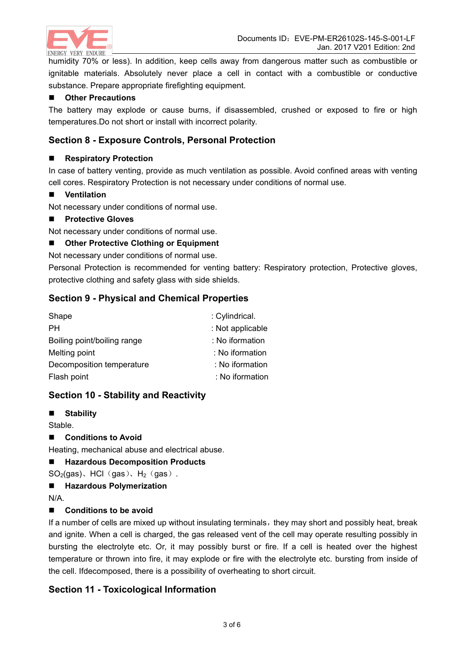

humidity 70% or less). In addition, keep cells away from dangerous matter such as combustible or ignitable materials. Absolutely never place a cell in contact with a combustible or conductive substance. Prepare appropriate firefighting equipment.

## **Other Precautions**

The battery may explode or cause burns, if disassembled, crushed or exposed to fire or high temperatures.Do not short or install with incorrect polarity.

## **Section 8 - Exposure Controls, Personal Protection**

## ■ **Respiratory** Protection

In case of battery venting, provide as much ventilation as possible. Avoid confined areas with venting cell cores. Respiratory Protection is not necessary under conditions of normal use.

## **Ventilation**

Not necessary under conditions of normal use.

## **Protective Gloves**

Not necessary under conditions of normal use.

## **Other Protective Clothing or Equipment**

## Not necessary under conditions of normal use.

Personal Protection is recommended for venting battery: Respiratory protection, Protective gloves, protective clothing and safety glass with side shields.

## **Section 9 - Physical and Chemical Properties**

| Shape                       | : Cylindrical.   |
|-----------------------------|------------------|
| PH                          | : Not applicable |
| Boiling point/boiling range | : No iformation  |
| Melting point               | : No iformation  |
| Decomposition temperature   | : No iformation  |
| Flash point                 | : No iformation  |

## **Section 10 - Stability and Reactivity**

**Stability**

Stable.

**Conditions to Avoid**

Heating, mechanical abuse and electrical abuse.

## **Hazardous Decomposition Products**

- $SO<sub>2</sub>(gas)$ , HCl(gas), H<sub>2</sub>(gas).
- **Hazardous Polymerization**

N/A.

## **Conditions to be avoid**

If a number of cells are mixed up without insulating terminals, they may short and possibly heat, break and ignite. When a cell is charged, the gas released vent of the cell may operate resulting possibly in bursting the electrolyte etc. Or, it may possibly burst or fire. If a cell is heated over the highest temperature or thrown into fire, it may explode or fire with the electrolyte etc. bursting from inside of the cell. Ifdecomposed, there is a possibility of overheating to short circuit.

## **Section 11 - Toxicological Information**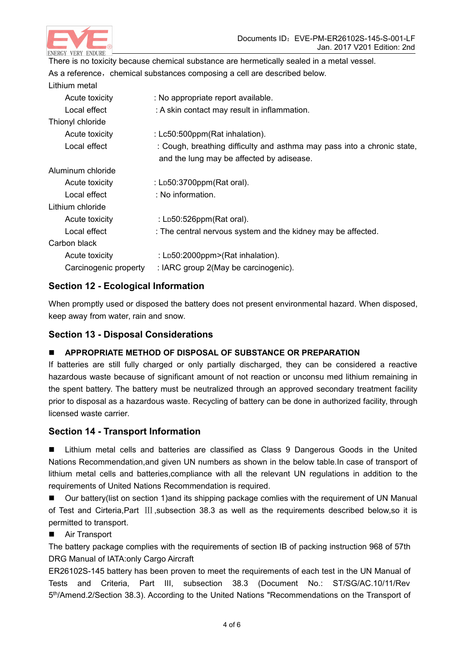

There is no toxicity because chemical substance are hermetically sealed in a metal vessel. As a reference, chemical substances composing a cell are described below. Lithium metal Acute toxicity : No appropriate report available. Local effect : A skin contact may result in inflammation. Thionyl chloride Acute toxicity : Lc50:500ppm(Rat inhalation). Local effect : Cough, breathing difficulty and asthma may pass into a chronic state, and the lung may be affected by adisease. Aluminum chloride Acute toxicity : LD50:3700ppm(Rat oral). Local effect : No information. Lithium chloride Acute toxicity : LD50:526ppm(Rat oral). Local effect : The central nervous system and the kidney may be affected. Carbon black Acute toxicity : LD50:2000ppm>(Rat inhalation).

# **Section 12 - Ecological Information**

When promptly used or disposed the battery does not present environmental hazard. When disposed, keep away from water, rain and snow.

## **Section 13 - Disposal Considerations**

## **APPROPRIATE METHOD OF DISPOSAL OF SUBSTANCE OR PREPARATION**

Carcinogenic property : IARC group 2(May be carcinogenic).

If batteries are still fully charged or only partially discharged, they can be considered a reactive hazardous waste because of significant amount of not reaction or unconsu med lithium remaining in the spent battery. The battery must be neutralized through an approved secondary treatment facility prior to disposal as a hazardous waste. Recycling of battery can be done in authorized facility, through licensed waste carrier.

## **Section 14 - Transport Information**

 Lithium metal cells and batteries are classified as Class 9 Dangerous Goods in the United Nations Recommendation, and given UN numbers as shown in the below table. In case of transport of lithium metal cells and batteries,compliance with all the relevant UN regulations in addition to the requirements of United Nations Recommendation is required.

 Our battery(list on section 1)and its shipping package comlies with the requirement of UN Manual of Test and Cirteria,Part Ⅲ ,subsection 38.3 as well as the requirements described below,so it is permitted to transport.

■ Air Transport

The battery package complies with the requirements of section IB of packing instruction 968 of 57th DRG Manual of IATA:only Cargo Aircraft

ER26102S-145 battery has been proven to meet the requirements of each test in the UN Manual of Tests and Criteria, Part III, subsection 38.3 (Document No.: ST/SG/AC.10/11/Rev 5 th /Amend.2/Section 38.3). According to the United Nations "Recommendations on the Transport of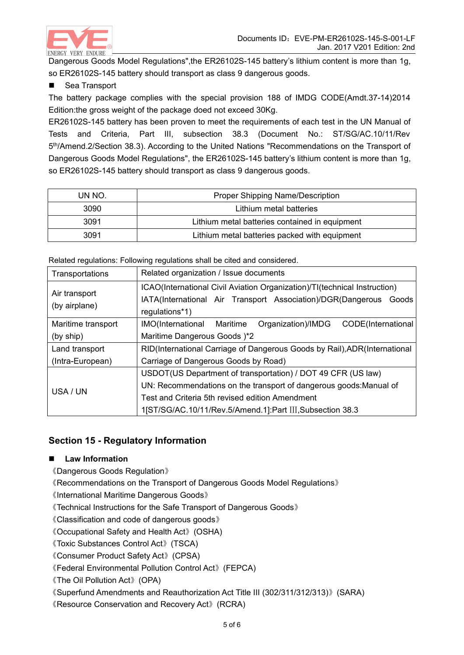

Dangerous Goods Model Regulations",the ER26102S-145 battery's lithium content is more than 1g, so ER26102S-145 battery should transport as class 9 dangerous goods.

## ■ Sea Transport

The battery package complies with the special provision 188 of IMDG CODE(Amdt.37-14)2014 Edition: the gross weight of the package doed not exceed 30Kg.

ER26102S-145 battery has been proven to meet the requirements of each test in the UN Manual of Tests and Criteria, Part III, subsection 38.3 (Document No.: ST/SG/AC.10/11/Rev 5 th /Amend.2/Section 38.3). According to the United Nations "Recommendations on the Transport of Dangerous Goods Model Regulations", the ER26102S-145 battery's lithium content is more than 1g, so ER26102S-145 battery should transport as class 9 dangerous goods.

| UN NO. | Proper Shipping Name/Description               |
|--------|------------------------------------------------|
| 3090   | Lithium metal batteries                        |
| 3091   | Lithium metal batteries contained in equipment |
| 3091   | Lithium metal batteries packed with equipment  |

Related regulations: Following regulations shall be cited and considered.

| Transportations                | Related organization / Issue documents                                                                                                                           |  |  |  |
|--------------------------------|------------------------------------------------------------------------------------------------------------------------------------------------------------------|--|--|--|
| Air transport<br>(by airplane) | ICAO(International Civil Aviation Organization)/TI(technical Instruction)<br>IATA(International Air Transport Association)/DGR(Dangerous Goods<br>regulations*1) |  |  |  |
| Maritime transport             | IMO(International<br>Organization)/IMDG<br>CODE(International<br>Maritime                                                                                        |  |  |  |
| (by ship)                      | Maritime Dangerous Goods )*2                                                                                                                                     |  |  |  |
| Land transport                 | RID(International Carriage of Dangerous Goods by Rail), ADR(International                                                                                        |  |  |  |
| (Intra-European)               | Carriage of Dangerous Goods by Road)                                                                                                                             |  |  |  |
| USA / UN                       | USDOT(US Department of transportation) / DOT 49 CFR (US law)                                                                                                     |  |  |  |
|                                | UN: Recommendations on the transport of dangerous goods: Manual of                                                                                               |  |  |  |
|                                | Test and Criteria 5th revised edition Amendment                                                                                                                  |  |  |  |
|                                | 1[ST/SG/AC.10/11/Rev.5/Amend.1]:Part III, Subsection 38.3                                                                                                        |  |  |  |

## **Section 15 - Regulatory Information**

## **Law Information**

《Dangerous Goods Regulation》

《Recommendations on the Transport of Dangerous Goods Model Regulations》

《International Maritime Dangerous Goods》

《Technical Instructions for the Safe Transport of Dangerous Goods》

《Classification and code of dangerous goods》

《Occupational Safety and Health Act》(OSHA)

《Toxic Substances Control Act》(TSCA)

《Consumer Product Safety Act》(CPSA)

《Federal Environmental Pollution Control Act》(FEPCA)

《The Oil Pollution Act》(OPA)

《Superfund Amendments and Reauthorization Act Title III (302/311/312/313)》(SARA)

《Resource Conservation and Recovery Act》(RCRA)